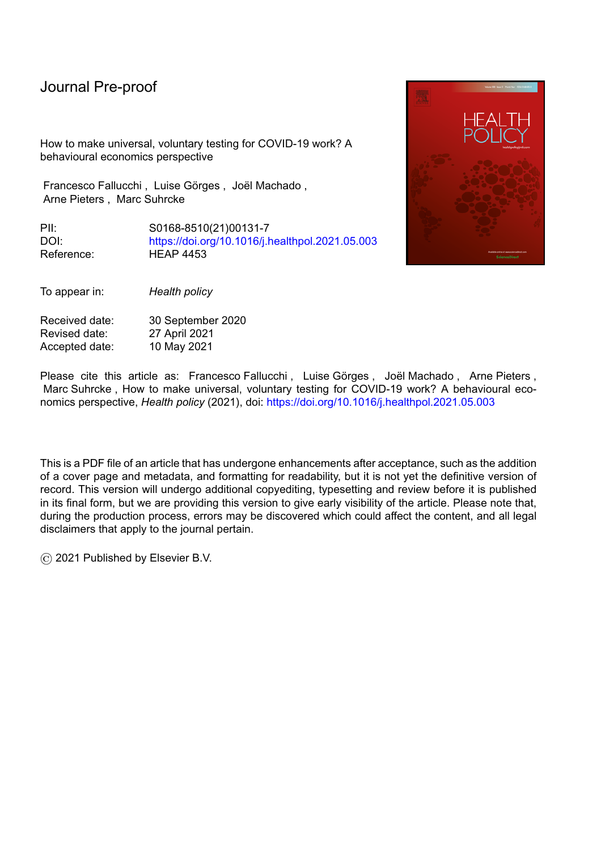How to make universal, voluntary testing for COVID-19 work? A behavioural economics perspective

Francesco Fallucchi, Luise Görges, Joël Machado, Arne Pieters , Marc Suhrcke

PII: S0168-8510(21)00131-7 DOI: <https://doi.org/10.1016/j.healthpol.2021.05.003> Reference: HEAP 4453



To appear in: *Health policy*

Received date: 30 September 2020 Revised date: 27 April 2021<br>Accepted date: 10 May 2021 Accepted date:

Please cite this article as: Francesco Fallucchi , Luise Görges , Joël Machado , Arne Pieters , Marc Suhrcke , How to make universal, voluntary testing for COVID-19 work? A behavioural economics perspective, *Health policy* (2021), doi: <https://doi.org/10.1016/j.healthpol.2021.05.003>

This is a PDF file of an article that has undergone enhancements after acceptance, such as the addition of a cover page and metadata, and formatting for readability, but it is not yet the definitive version of record. This version will undergo additional copyediting, typesetting and review before it is published in its final form, but we are providing this version to give early visibility of the article. Please note that, during the production process, errors may be discovered which could affect the content, and all legal disclaimers that apply to the journal pertain.

© 2021 Published by Elsevier B.V.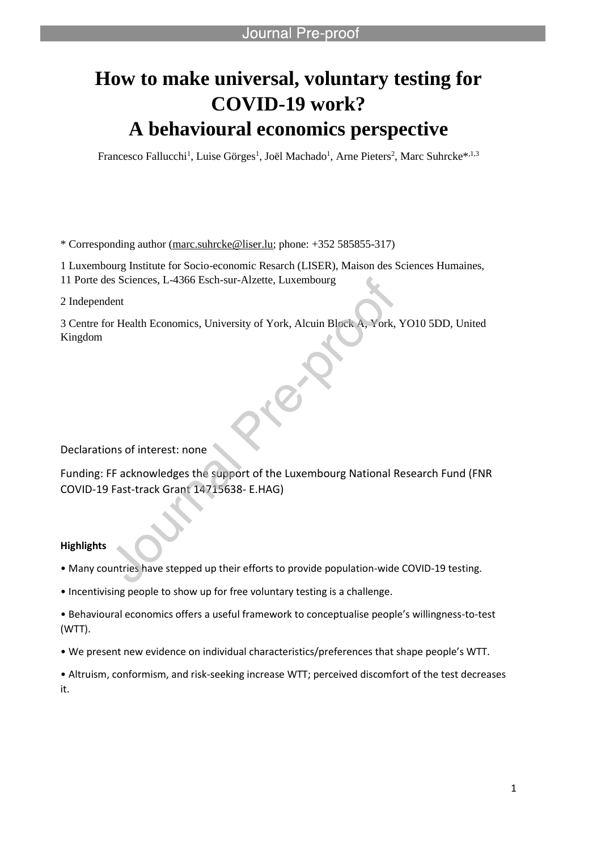# **How to make universal, voluntary testing for COVID-19 work? A behavioural economics perspective**

Francesco Fallucchi<sup>1</sup>, Luise Görges<sup>1</sup>, Joël Machado<sup>1</sup>, Arne Pieters<sup>2</sup>, Marc Suhrcke<sup>\*,1,3</sup>

\* Corresponding author (marc.suhrcke@liser.lu; phone: +352 585855-317)

l

1 Luxembourg Institute for Socio-economic Resarch (LISER), Maison des Sciences Humaines,

11 Porte des Sciences, L-4366 Esch-sur-Alzette, Luxembourg

2 Independent

3 Centre for Health Economics, University of York, Alcuin Block A, York, YO10 5DD, United Kingdom

Declarations of interest: none

Funding: FF acknowledges the support of the Luxembourg National Research Fund (FNR COVID-19 Fast-track Grant 14715638- E.HAG)

#### **Highlights**

• Many countries have stepped up their efforts to provide population-wide COVID-19 testing.

• Incentivising people to show up for free voluntary testing is a challenge.

• Behavioural economics offers a useful framework to conceptualise people's willingness-to-test (WTT).

• We present new evidence on individual characteristics/preferences that shape people's WTT.

• Altruism, conformism, and risk-seeking increase WTT; perceived discomfort of the test decreases it.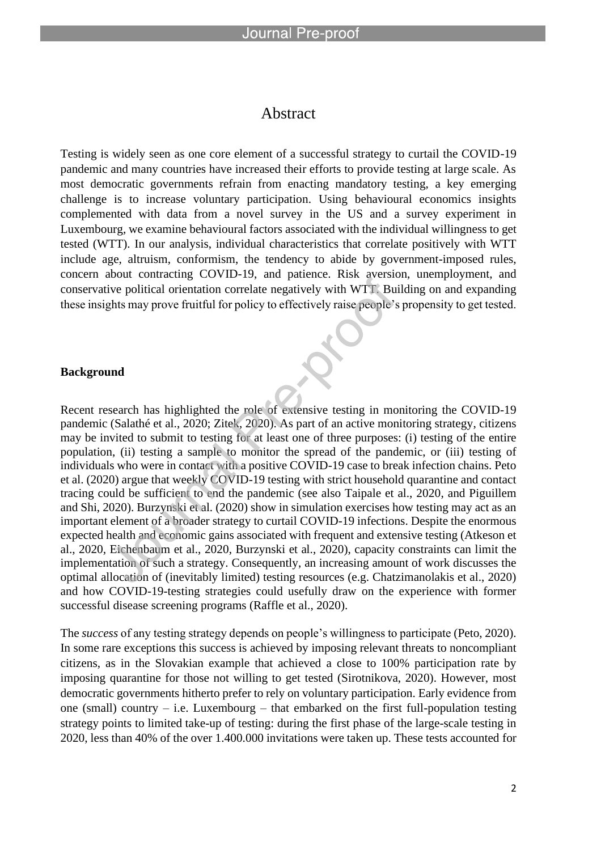l

#### Abstract

Testing is widely seen as one core element of a successful strategy to curtail the COVID-19 pandemic and many countries have increased their efforts to provide testing at large scale. As most democratic governments refrain from enacting mandatory testing, a key emerging challenge is to increase voluntary participation. Using behavioural economics insights complemented with data from a novel survey in the US and a survey experiment in Luxembourg, we examine behavioural factors associated with the individual willingness to get tested (WTT). In our analysis, individual characteristics that correlate positively with WTT include age, altruism, conformism, the tendency to abide by government-imposed rules, concern about contracting COVID-19, and patience. Risk aversion, unemployment, and conservative political orientation correlate negatively with WTT. Building on and expanding these insights may prove fruitful for policy to effectively raise people's propensity to get tested.

#### **Background**

Recent research has highlighted the role of extensive testing in monitoring the COVID-19 pandemic (Salathé et al., 2020; Zitek, 2020). As part of an active monitoring strategy, citizens may be invited to submit to testing for at least one of three purposes: (i) testing of the entire population, (ii) testing a sample to monitor the spread of the pandemic, or (iii) testing of individuals who were in contact with a positive COVID-19 case to break infection chains. Peto et al. (2020) argue that weekly COVID-19 testing with strict household quarantine and contact tracing could be sufficient to end the pandemic (see also Taipale et al., 2020, and Piguillem and Shi, 2020). Burzynski et al. (2020) show in simulation exercises how testing may act as an important element of a broader strategy to curtail COVID-19 infections. Despite the enormous expected health and economic gains associated with frequent and extensive testing (Atkeson et al., 2020, Eichenbaum et al., 2020, Burzynski et al., 2020), capacity constraints can limit the implementation of such a strategy. Consequently, an increasing amount of work discusses the optimal allocation of (inevitably limited) testing resources (e.g. Chatzimanolakis et al., 2020) and how COVID-19-testing strategies could usefully draw on the experience with former successful disease screening programs (Raffle et al., 2020).

The *success* of any testing strategy depends on people's willingness to participate (Peto, 2020). In some rare exceptions this success is achieved by imposing relevant threats to noncompliant citizens, as in the Slovakian example that achieved a close to 100% participation rate by imposing quarantine for those not willing to get tested (Sirotnikova, 2020). However, most democratic governments hitherto prefer to rely on voluntary participation. Early evidence from one (small) country  $-$  i.e. Luxembourg  $-$  that embarked on the first full-population testing strategy points to limited take-up of testing: during the first phase of the large-scale testing in 2020, less than 40% of the over 1.400.000 invitations were taken up. These tests accounted for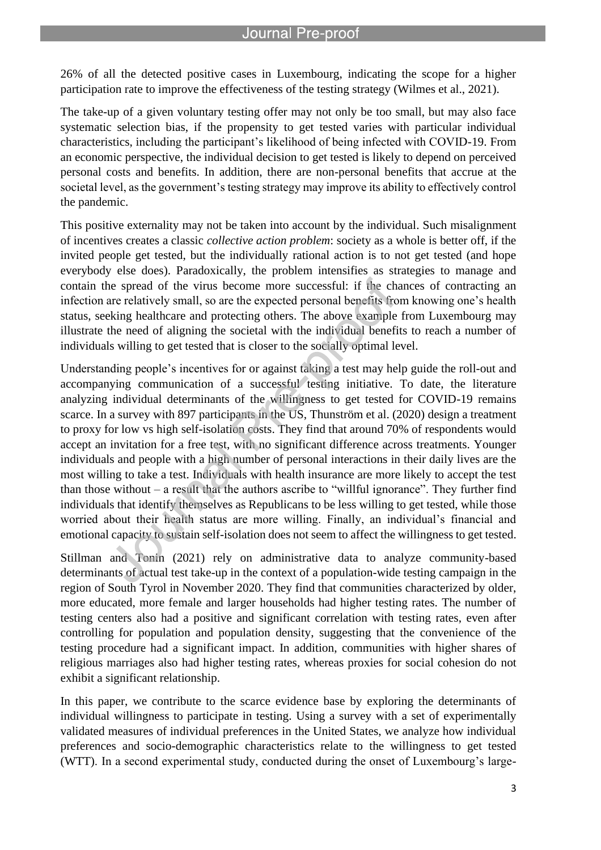26% of all the detected positive cases in Luxembourg, indicating the scope for a higher participation rate to improve the effectiveness of the testing strategy (Wilmes et al., 2021).

l

The take-up of a given voluntary testing offer may not only be too small, but may also face systematic selection bias, if the propensity to get tested varies with particular individual characteristics, including the participant's likelihood of being infected with COVID-19. From an economic perspective, the individual decision to get tested is likely to depend on perceived personal costs and benefits. In addition, there are non-personal benefits that accrue at the societal level, as the government's testing strategy may improve its ability to effectively control the pandemic.

This positive externality may not be taken into account by the individual. Such misalignment of incentives creates a classic *collective action problem*: society as a whole is better off, if the invited people get tested, but the individually rational action is to not get tested (and hope everybody else does). Paradoxically, the problem intensifies as strategies to manage and contain the spread of the virus become more successful: if the chances of contracting an infection are relatively small, so are the expected personal benefits from knowing one's health status, seeking healthcare and protecting others. The above example from Luxembourg may illustrate the need of aligning the societal with the individual benefits to reach a number of individuals willing to get tested that is closer to the socially optimal level.

Understanding people's incentives for or against taking a test may help guide the roll-out and accompanying communication of a successful testing initiative. To date, the literature analyzing individual determinants of the willingness to get tested for COVID-19 remains scarce. In a survey with 897 participants in the US, Thunström et al. (2020) design a treatment to proxy for low vs high self-isolation costs. They find that around 70% of respondents would accept an invitation for a free test, with no significant difference across treatments. Younger individuals and people with a high number of personal interactions in their daily lives are the most willing to take a test. Individuals with health insurance are more likely to accept the test than those without – a result that the authors ascribe to "willful ignorance". They further find individuals that identify themselves as Republicans to be less willing to get tested, while those worried about their health status are more willing. Finally, an individual's financial and emotional capacity to sustain self-isolation does not seem to affect the willingness to get tested.

Stillman and Tonin (2021) rely on administrative data to analyze community-based determinants of actual test take-up in the context of a population-wide testing campaign in the region of South Tyrol in November 2020. They find that communities characterized by older, more educated, more female and larger households had higher testing rates. The number of testing centers also had a positive and significant correlation with testing rates, even after controlling for population and population density, suggesting that the convenience of the testing procedure had a significant impact. In addition, communities with higher shares of religious marriages also had higher testing rates, whereas proxies for social cohesion do not exhibit a significant relationship.

In this paper, we contribute to the scarce evidence base by exploring the determinants of individual willingness to participate in testing. Using a survey with a set of experimentally validated measures of individual preferences in the United States, we analyze how individual preferences and socio-demographic characteristics relate to the willingness to get tested (WTT). In a second experimental study, conducted during the onset of Luxembourg's large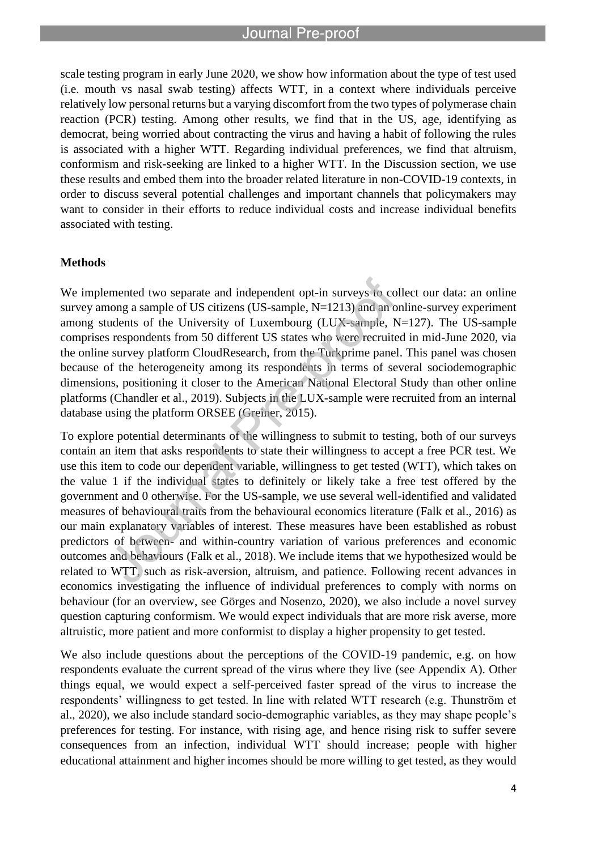l

scale testing program in early June 2020, we show how information about the type of test used (i.e. mouth vs nasal swab testing) affects WTT, in a context where individuals perceive relatively low personal returns but a varying discomfort from the two types of polymerase chain reaction (PCR) testing. Among other results, we find that in the US, age, identifying as democrat, being worried about contracting the virus and having a habit of following the rules is associated with a higher WTT. Regarding individual preferences, we find that altruism, conformism and risk-seeking are linked to a higher WTT. In the Discussion section, we use these results and embed them into the broader related literature in non-COVID-19 contexts, in order to discuss several potential challenges and important channels that policymakers may want to consider in their efforts to reduce individual costs and increase individual benefits associated with testing.

#### **Methods**

We implemented two separate and independent opt-in surveys to collect our data: an online survey among a sample of US citizens (US-sample, N=1213) and an online-survey experiment among students of the University of Luxembourg (LUX-sample, N=127). The US-sample comprises respondents from 50 different US states who were recruited in mid-June 2020, via the online survey platform CloudResearch, from the Turkprime panel. This panel was chosen because of the heterogeneity among its respondents in terms of several sociodemographic dimensions, positioning it closer to the American National Electoral Study than other online platforms (Chandler et al., 2019). Subjects in the LUX-sample were recruited from an internal database using the platform ORSEE (Greiner, 2015).

To explore potential determinants of the willingness to submit to testing, both of our surveys contain an item that asks respondents to state their willingness to accept a free PCR test. We use this item to code our dependent variable, willingness to get tested (WTT), which takes on the value 1 if the individual states to definitely or likely take a free test offered by the government and 0 otherwise. For the US-sample, we use several well-identified and validated measures of behavioural traits from the behavioural economics literature (Falk et al., 2016) as our main explanatory variables of interest. These measures have been established as robust predictors of between- and within-country variation of various preferences and economic outcomes and behaviours (Falk et al., 2018). We include items that we hypothesized would be related to WTT, such as risk-aversion, altruism, and patience. Following recent advances in economics investigating the influence of individual preferences to comply with norms on behaviour (for an overview, see Görges and Nosenzo, 2020), we also include a novel survey question capturing conformism. We would expect individuals that are more risk averse, more altruistic, more patient and more conformist to display a higher propensity to get tested.

We also include questions about the perceptions of the COVID-19 pandemic, e.g. on how respondents evaluate the current spread of the virus where they live (see Appendix A). Other things equal, we would expect a self-perceived faster spread of the virus to increase the respondents' willingness to get tested. In line with related WTT research (e.g. Thunström et al., 2020), we also include standard socio-demographic variables, as they may shape people's preferences for testing. For instance, with rising age, and hence rising risk to suffer severe consequences from an infection, individual WTT should increase; people with higher educational attainment and higher incomes should be more willing to get tested, as they would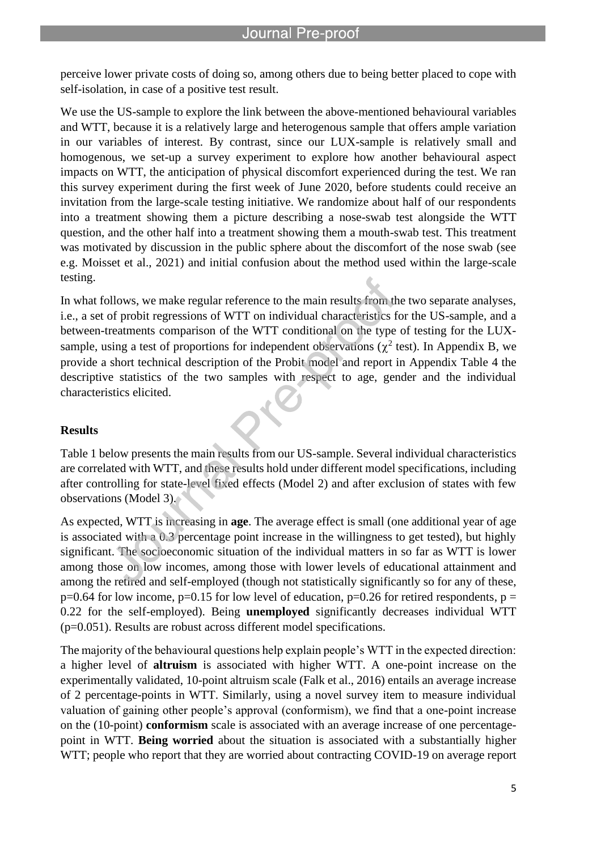perceive lower private costs of doing so, among others due to being better placed to cope with self-isolation, in case of a positive test result.

l

We use the US-sample to explore the link between the above-mentioned behavioural variables and WTT, because it is a relatively large and heterogenous sample that offers ample variation in our variables of interest. By contrast, since our LUX-sample is relatively small and homogenous, we set-up a survey experiment to explore how another behavioural aspect impacts on WTT, the anticipation of physical discomfort experienced during the test. We ran this survey experiment during the first week of June 2020, before students could receive an invitation from the large-scale testing initiative. We randomize about half of our respondents into a treatment showing them a picture describing a nose-swab test alongside the WTT question, and the other half into a treatment showing them a mouth-swab test. This treatment was motivated by discussion in the public sphere about the discomfort of the nose swab (see e.g. Moisset et al., 2021) and initial confusion about the method used within the large-scale testing.

In what follows, we make regular reference to the main results from the two separate analyses, i.e., a set of probit regressions of WTT on individual characteristics for the US-sample, and a between-treatments comparison of the WTT conditional on the type of testing for the LUXsample, using a test of proportions for independent observations ( $\chi^2$  test). In Appendix B, we provide a short technical description of the Probit model and report in Appendix Table 4 the descriptive statistics of the two samples with respect to age, gender and the individual characteristics elicited.

#### **Results**

Table 1 below presents the main results from our US-sample. Several individual characteristics are correlated with WTT, and these results hold under different model specifications, including after controlling for state-level fixed effects (Model 2) and after exclusion of states with few observations (Model 3).

As expected, WTT is increasing in **age**. The average effect is small (one additional year of age is associated with a 0.3 percentage point increase in the willingness to get tested), but highly significant. The socioeconomic situation of the individual matters in so far as WTT is lower among those on low incomes, among those with lower levels of educational attainment and among the retired and self-employed (though not statistically significantly so for any of these,  $p=0.64$  for low income,  $p=0.15$  for low level of education,  $p=0.26$  for retired respondents,  $p=0$ 0.22 for the self-employed). Being **unemployed** significantly decreases individual WTT (p=0.051). Results are robust across different model specifications.

The majority of the behavioural questions help explain people's WTT in the expected direction: a higher level of **altruism** is associated with higher WTT. A one-point increase on the experimentally validated, 10-point altruism scale (Falk et al., 2016) entails an average increase of 2 percentage-points in WTT. Similarly, using a novel survey item to measure individual valuation of gaining other people's approval (conformism), we find that a one-point increase on the (10-point) **conformism** scale is associated with an average increase of one percentagepoint in WTT. **Being worried** about the situation is associated with a substantially higher WTT; people who report that they are worried about contracting COVID-19 on average report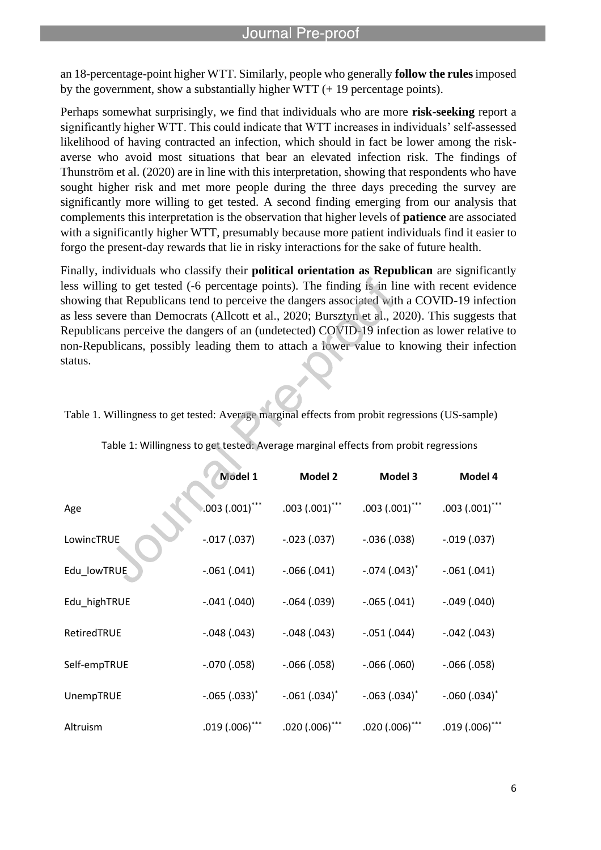an 18-percentage-point higher WTT. Similarly, people who generally **follow the rules**imposed by the government, show a substantially higher WTT (+ 19 percentage points).

l

Perhaps somewhat surprisingly, we find that individuals who are more **risk-seeking** report a significantly higher WTT. This could indicate that WTT increases in individuals' self-assessed likelihood of having contracted an infection, which should in fact be lower among the riskaverse who avoid most situations that bear an elevated infection risk. The findings of Thunström et al. (2020) are in line with this interpretation, showing that respondents who have sought higher risk and met more people during the three days preceding the survey are significantly more willing to get tested. A second finding emerging from our analysis that complements this interpretation is the observation that higher levels of **patience** are associated with a significantly higher WTT, presumably because more patient individuals find it easier to forgo the present-day rewards that lie in risky interactions for the sake of future health.

Finally, individuals who classify their **political orientation as Republican** are significantly less willing to get tested (-6 percentage points). The finding is in line with recent evidence showing that Republicans tend to perceive the dangers associated with a COVID-19 infection as less severe than Democrats (Allcott et al., 2020; Bursztyn et al., 2020). This suggests that Republicans perceive the dangers of an (undetected) COVID-19 infection as lower relative to non-Republicans, possibly leading them to attach a lower value to knowing their infection status.

|              | Model 1              | <b>Model 2</b>    | Model 3           | Model 4           |
|--------------|----------------------|-------------------|-------------------|-------------------|
| Age          | $0.003$ $(.001)$ *** | $.003(.001)$ ***  | $.003(.001)$ ***  | $.003(.001)$ ***  |
| LowincTRUE   | $-.017(.037)$        | $-.023(.037)$     | $-.036(.038)$     | $-.019(.037)$     |
| Edu_lowTRUE  | $-.061(.041)$        | $-.066(.041)$     | $-.074(.043)^*$   | $-.061(.041)$     |
| Edu highTRUE | $-.041(.040)$        | $-.064(.039)$     | $-.065(.041)$     | $-.049(.040)$     |
| RetiredTRUE  | $-.048(.043)$        | $-.048(.043)$     | $-.051(.044)$     | $-.042(.043)$     |
| Self-empTRUE | $-.070(.058)$        | $-0.066$ $(.058)$ | $-0.066$ $(.060)$ | $-0.066$ $(.058)$ |
| UnempTRUE    | $-.065(.033)^*$      | $-.061(.034)^*$   | $-.063(.034)^*$   | $-.060(.034)^*$   |
| Altruism     | $.019(.006)$ ***     | $.020(.006)$ ***  | $.020(.006)$ ***  | $.019(.006)$ ***  |

Table 1: Willingness to get tested: Average marginal effects from probit regressions

Table 1. Willingness to get tested: Average marginal effects from probit regressions (US-sample)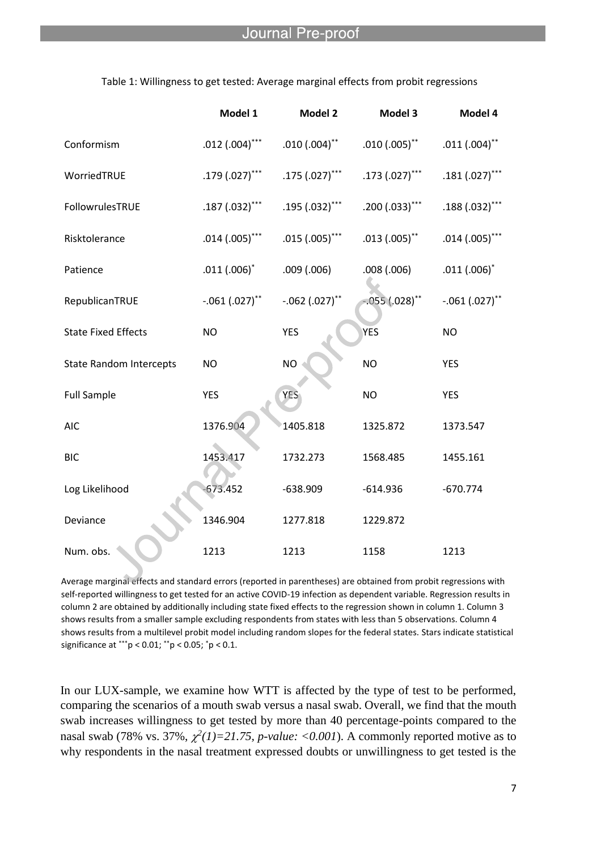|                                | Model 1          | Model 2             | Model 3              | Model 4          |
|--------------------------------|------------------|---------------------|----------------------|------------------|
| Conformism                     | $.012(.004)$ *** | $.010\,(.004)^{**}$ | $.010(.005)^{**}$    | $.011(.004)$ **  |
| WorriedTRUE                    | $.179(.027)$ *** | $.175(.027)$ ***    | $.173(.027)$ ***     | $.181(.027)$ *** |
| FollowrulesTRUE                | $.187(.032)$ *** | $.195(.032)$ ***    | $.200(.033)$ ***     | $.188(.032)$ *** |
| Risktolerance                  | $.014(.005)$ *** | $.015(.005)$ ***    | $.013(.005)$ **      | $.014(.005)$ *** |
| Patience                       | $.011(.006)^*$   | .009(.006)          | .008(.006)           | $.011(.006)^*$   |
| RepublicanTRUE                 | $-.061(.027)$ ** | $-.062(.027)$ **    | $-.055\,(.028)^{**}$ | $-.061(.027)$ ** |
| <b>State Fixed Effects</b>     | <b>NO</b>        | <b>YES</b>          | <b>YES</b>           | <b>NO</b>        |
| <b>State Random Intercepts</b> | <b>NO</b>        | <b>NO</b>           | <b>NO</b>            | <b>YES</b>       |
| <b>Full Sample</b>             | <b>YES</b>       | <b>YES</b>          | <b>NO</b>            | <b>YES</b>       |
| <b>AIC</b>                     | 1376.904         | 1405.818            | 1325.872             | 1373.547         |
| <b>BIC</b>                     | 1453.417         | 1732.273            | 1568.485             | 1455.161         |
| Log Likelihood                 | 673.452          | $-638.909$          | $-614.936$           | $-670.774$       |
| Deviance                       | 1346.904         | 1277.818            | 1229.872             |                  |
| Num. obs.                      | 1213             | 1213                | 1158                 | 1213             |

Table 1: Willingness to get tested: Average marginal effects from probit regressions

l

Average marginal effects and standard errors (reported in parentheses) are obtained from probit regressions with self-reported willingness to get tested for an active COVID-19 infection as dependent variable. Regression results in column 2 are obtained by additionally including state fixed effects to the regression shown in column 1. Column 3 shows results from a smaller sample excluding respondents from states with less than 5 observations. Column 4 shows results from a multilevel probit model including random slopes for the federal states. Stars indicate statistical significance at \*\*\*p < 0.01; \*\*p < 0.05; \*p < 0.1.

In our LUX-sample, we examine how WTT is affected by the type of test to be performed, comparing the scenarios of a mouth swab versus a nasal swab. Overall, we find that the mouth swab increases willingness to get tested by more than 40 percentage-points compared to the nasal swab (78% vs. 37%,  $\chi^2(1)=21.75$ , *p-value:* <0.001). A commonly reported motive as to why respondents in the nasal treatment expressed doubts or unwillingness to get tested is the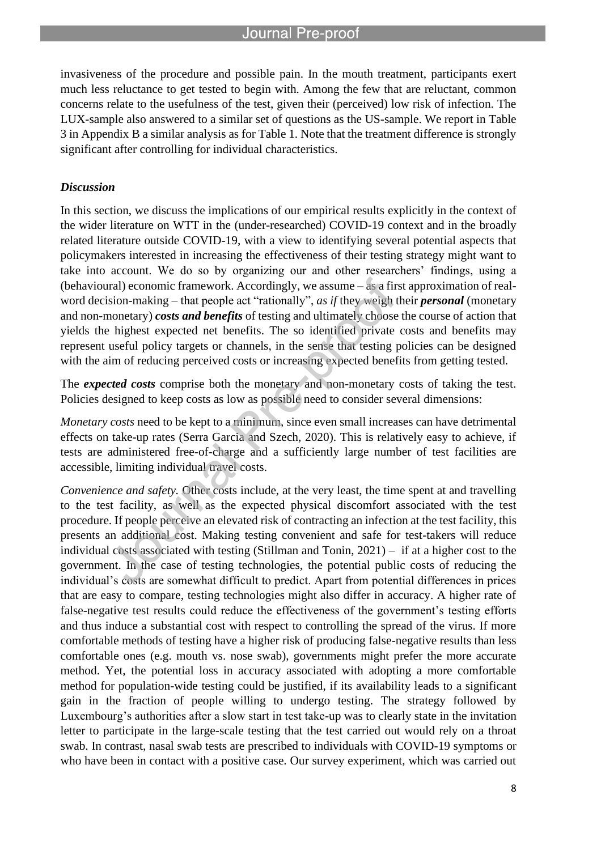l

invasiveness of the procedure and possible pain. In the mouth treatment, participants exert much less reluctance to get tested to begin with. Among the few that are reluctant, common concerns relate to the usefulness of the test, given their (perceived) low risk of infection. The LUX-sample also answered to a similar set of questions as the US-sample. We report in Table 3 in Appendix B a similar analysis as for Table 1. Note that the treatment difference is strongly significant after controlling for individual characteristics.

#### *Discussion*

In this section, we discuss the implications of our empirical results explicitly in the context of the wider literature on WTT in the (under-researched) COVID-19 context and in the broadly related literature outside COVID-19, with a view to identifying several potential aspects that policymakers interested in increasing the effectiveness of their testing strategy might want to take into account. We do so by organizing our and other researchers' findings, using a (behavioural) economic framework. Accordingly, we assume – as a first approximation of realword decision-making – that people act "rationally", *as if* they weigh their *personal* (monetary and non-monetary) *costs and benefits* of testing and ultimately choose the course of action that yields the highest expected net benefits. The so identified private costs and benefits may represent useful policy targets or channels, in the sense that testing policies can be designed with the aim of reducing perceived costs or increasing expected benefits from getting tested.

The *expected costs* comprise both the monetary and non-monetary costs of taking the test. Policies designed to keep costs as low as possible need to consider several dimensions:

*Monetary costs* need to be kept to a minimum, since even small increases can have detrimental effects on take-up rates (Serra Garcia and Szech, 2020). This is relatively easy to achieve, if tests are administered free-of-charge and a sufficiently large number of test facilities are accessible, limiting individual travel costs.

*Convenience and safety.* Other costs include, at the very least, the time spent at and travelling to the test facility, as well as the expected physical discomfort associated with the test procedure. If people perceive an elevated risk of contracting an infection at the test facility, this presents an additional cost. Making testing convenient and safe for test-takers will reduce individual costs associated with testing (Stillman and Tonin, 2021) – if at a higher cost to the government. In the case of testing technologies, the potential public costs of reducing the individual's costs are somewhat difficult to predict. Apart from potential differences in prices that are easy to compare, testing technologies might also differ in accuracy. A higher rate of false-negative test results could reduce the effectiveness of the government's testing efforts and thus induce a substantial cost with respect to controlling the spread of the virus. If more comfortable methods of testing have a higher risk of producing false-negative results than less comfortable ones (e.g. mouth vs. nose swab), governments might prefer the more accurate method. Yet, the potential loss in accuracy associated with adopting a more comfortable method for population-wide testing could be justified, if its availability leads to a significant gain in the fraction of people willing to undergo testing. The strategy followed by Luxembourg's authorities after a slow start in test take-up was to clearly state in the invitation letter to participate in the large-scale testing that the test carried out would rely on a throat swab. In contrast, nasal swab tests are prescribed to individuals with COVID-19 symptoms or who have been in contact with a positive case. Our survey experiment, which was carried out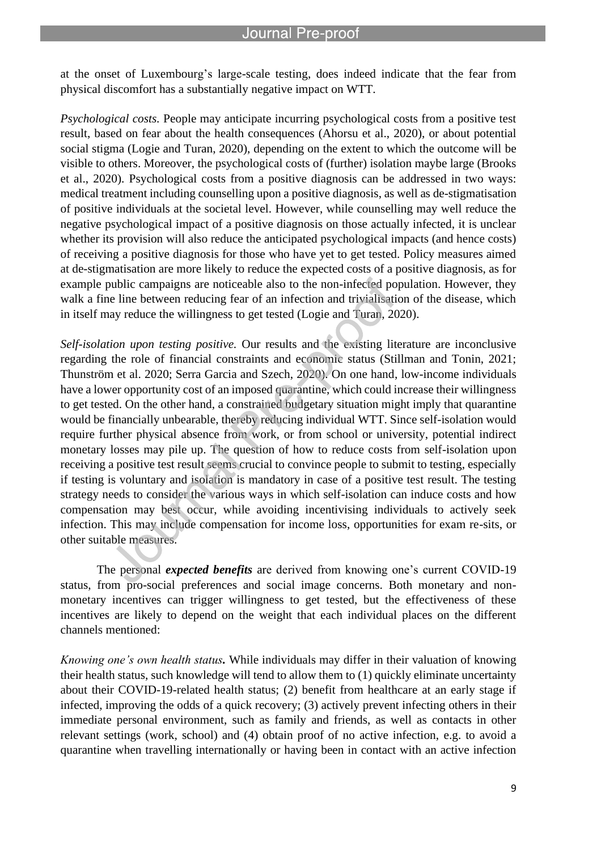at the onset of Luxembourg's large-scale testing, does indeed indicate that the fear from physical discomfort has a substantially negative impact on WTT.

l

*Psychological costs.* People may anticipate incurring psychological costs from a positive test result, based on fear about the health consequences (Ahorsu et al., 2020), or about potential social stigma (Logie and Turan, 2020), depending on the extent to which the outcome will be visible to others. Moreover, the psychological costs of (further) isolation maybe large (Brooks et al., 2020). Psychological costs from a positive diagnosis can be addressed in two ways: medical treatment including counselling upon a positive diagnosis, as well as de-stigmatisation of positive individuals at the societal level. However, while counselling may well reduce the negative psychological impact of a positive diagnosis on those actually infected, it is unclear whether its provision will also reduce the anticipated psychological impacts (and hence costs) of receiving a positive diagnosis for those who have yet to get tested. Policy measures aimed at de-stigmatisation are more likely to reduce the expected costs of a positive diagnosis, as for example public campaigns are noticeable also to the non-infected population. However, they walk a fine line between reducing fear of an infection and trivialisation of the disease, which in itself may reduce the willingness to get tested (Logie and Turan, 2020).

*Self-isolation upon testing positive.* Our results and the existing literature are inconclusive regarding the role of financial constraints and economic status (Stillman and Tonin, 2021; Thunström et al. 2020; Serra Garcia and Szech, 2020). On one hand, low-income individuals have a lower opportunity cost of an imposed quarantine, which could increase their willingness to get tested. On the other hand, a constrained budgetary situation might imply that quarantine would be financially unbearable, thereby reducing individual WTT. Since self-isolation would require further physical absence from work, or from school or university, potential indirect monetary losses may pile up. The question of how to reduce costs from self-isolation upon receiving a positive test result seems crucial to convince people to submit to testing, especially if testing is voluntary and isolation is mandatory in case of a positive test result. The testing strategy needs to consider the various ways in which self-isolation can induce costs and how compensation may best occur, while avoiding incentivising individuals to actively seek infection. This may include compensation for income loss, opportunities for exam re-sits, or other suitable measures.

The personal *expected benefits* are derived from knowing one's current COVID-19 status, from pro-social preferences and social image concerns. Both monetary and nonmonetary incentives can trigger willingness to get tested, but the effectiveness of these incentives are likely to depend on the weight that each individual places on the different channels mentioned:

*Knowing one's own health status.* While individuals may differ in their valuation of knowing their health status, such knowledge will tend to allow them to (1) quickly eliminate uncertainty about their COVID-19-related health status; (2) benefit from healthcare at an early stage if infected, improving the odds of a quick recovery; (3) actively prevent infecting others in their immediate personal environment, such as family and friends, as well as contacts in other relevant settings (work, school) and (4) obtain proof of no active infection, e.g. to avoid a quarantine when travelling internationally or having been in contact with an active infection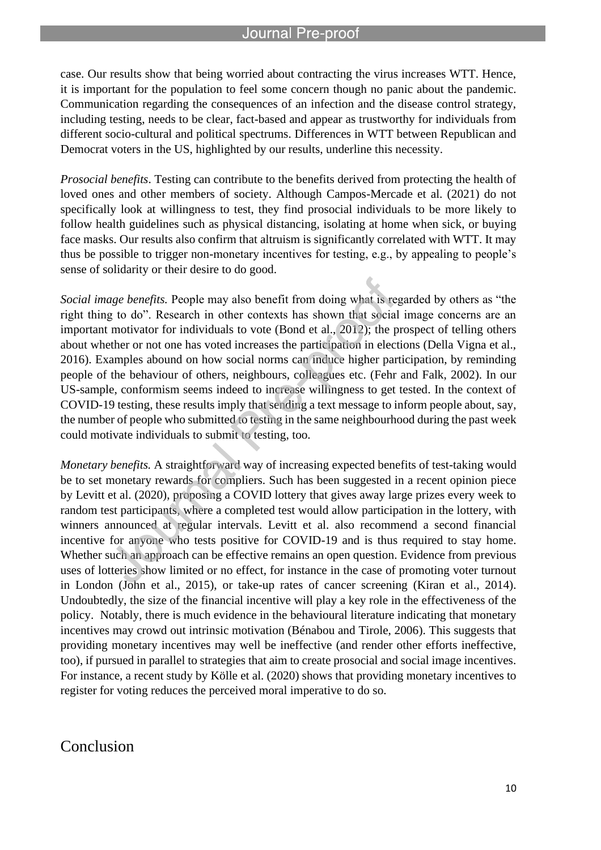l

case. Our results show that being worried about contracting the virus increases WTT. Hence, it is important for the population to feel some concern though no panic about the pandemic. Communication regarding the consequences of an infection and the disease control strategy, including testing, needs to be clear, fact-based and appear as trustworthy for individuals from different socio-cultural and political spectrums. Differences in WTT between Republican and Democrat voters in the US, highlighted by our results, underline this necessity.

*Prosocial benefits*. Testing can contribute to the benefits derived from protecting the health of loved ones and other members of society. Although Campos-Mercade et al. (2021) do not specifically look at willingness to test, they find prosocial individuals to be more likely to follow health guidelines such as physical distancing, isolating at home when sick, or buying face masks. Our results also confirm that altruism is significantly correlated with WTT. It may thus be possible to trigger non-monetary incentives for testing, e.g., by appealing to people's sense of solidarity or their desire to do good.

*Social image benefits.* People may also benefit from doing what is regarded by others as "the right thing to do". Research in other contexts has shown that social image concerns are an important motivator for individuals to vote (Bond et al., 2012); the prospect of telling others about whether or not one has voted increases the participation in elections (Della Vigna et al., 2016). Examples abound on how social norms can induce higher participation, by reminding people of the behaviour of others, neighbours, colleagues etc. (Fehr and Falk, 2002). In our US-sample, conformism seems indeed to increase willingness to get tested. In the context of COVID-19 testing, these results imply that sending a text message to inform people about, say, the number of people who submitted to testing in the same neighbourhood during the past week could motivate individuals to submit to testing, too.

*Monetary benefits.* A straightforward way of increasing expected benefits of test-taking would be to set monetary rewards for compliers. Such has been suggested in a recent opinion piece by Levitt et al. (2020), proposing a COVID lottery that gives away large prizes every week to random test participants, where a completed test would allow participation in the lottery, with winners announced at regular intervals. Levitt et al. also recommend a second financial incentive for anyone who tests positive for COVID-19 and is thus required to stay home. Whether such an approach can be effective remains an open question. Evidence from previous uses of lotteries show limited or no effect, for instance in the case of promoting voter turnout in London (John et al., 2015), or take-up rates of cancer screening (Kiran et al., 2014). Undoubtedly, the size of the financial incentive will play a key role in the effectiveness of the policy. Notably, there is much evidence in the behavioural literature indicating that monetary incentives may crowd out intrinsic motivation (Bénabou and Tirole, 2006). This suggests that providing monetary incentives may well be ineffective (and render other efforts ineffective, too), if pursued in parallel to strategies that aim to create prosocial and social image incentives. For instance, a recent study by Kölle et al. (2020) shows that providing monetary incentives to register for voting reduces the perceived moral imperative to do so.

### Conclusion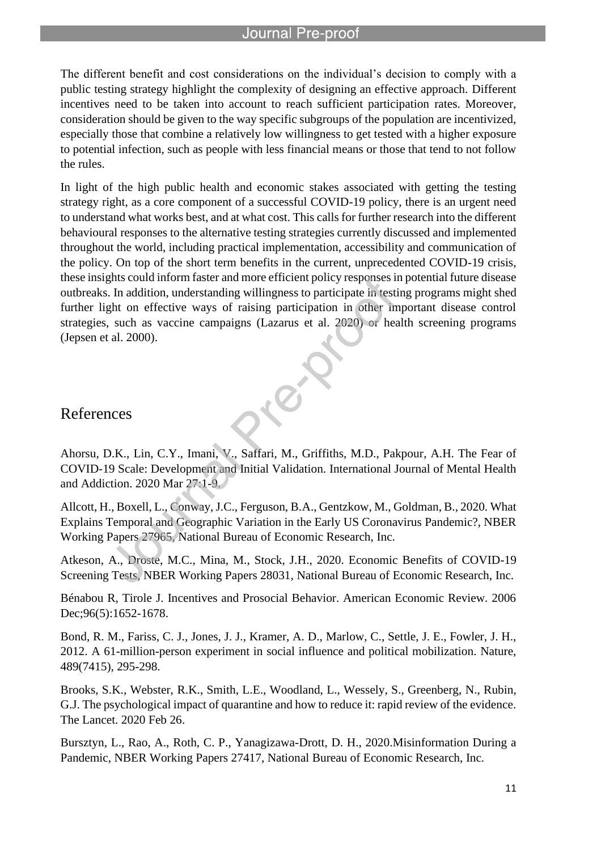l

The different benefit and cost considerations on the individual's decision to comply with a public testing strategy highlight the complexity of designing an effective approach. Different incentives need to be taken into account to reach sufficient participation rates. Moreover, consideration should be given to the way specific subgroups of the population are incentivized, especially those that combine a relatively low willingness to get tested with a higher exposure to potential infection, such as people with less financial means or those that tend to not follow the rules.

In light of the high public health and economic stakes associated with getting the testing strategy right, as a core component of a successful COVID-19 policy, there is an urgent need to understand what works best, and at what cost. This calls for further research into the different behavioural responses to the alternative testing strategies currently discussed and implemented throughout the world, including practical implementation, accessibility and communication of the policy. On top of the short term benefits in the current, unprecedented COVID-19 crisis, these insights could inform faster and more efficient policy responses in potential future disease outbreaks. In addition, understanding willingness to participate in testing programs might shed further light on effective ways of raising participation in other important disease control strategies, such as vaccine campaigns (Lazarus et al. 2020) or health screening programs (Jepsen et al. 2000).

### References

Ahorsu, D.K., Lin, C.Y., Imani, V., Saffari, M., Griffiths, M.D., Pakpour, A.H. The Fear of COVID-19 Scale: Development and Initial Validation. International Journal of Mental Health and Addiction. 2020 Mar 27:1-9.

Allcott, H., Boxell, L., Conway, J.C., Ferguson, B.A., Gentzkow, M., Goldman, B., 2020. What Explains Temporal and Geographic Variation in the Early US Coronavirus Pandemic?, NBER Working Papers 27965, National Bureau of Economic Research, Inc.

Atkeson, A., Droste, M.C., Mina, M., Stock, J.H., 2020. Economic Benefits of COVID-19 Screening Tests, NBER Working Papers 28031, National Bureau of Economic Research, Inc.

Bénabou R, Tirole J. Incentives and Prosocial Behavior. American Economic Review. 2006 Dec;96(5):1652-1678.

Bond, R. M., Fariss, C. J., Jones, J. J., Kramer, A. D., Marlow, C., Settle, J. E., Fowler, J. H., 2012. A 61-million-person experiment in social influence and political mobilization. Nature, 489(7415), 295-298.

Brooks, S.K., Webster, R.K., Smith, L.E., Woodland, L., Wessely, S., Greenberg, N., Rubin, G.J. The psychological impact of quarantine and how to reduce it: rapid review of the evidence. The Lancet. 2020 Feb 26.

Bursztyn, L., Rao, A., Roth, C. P., Yanagizawa-Drott, D. H., 2020.Misinformation During a Pandemic, NBER Working Papers 27417, National Bureau of Economic Research, Inc.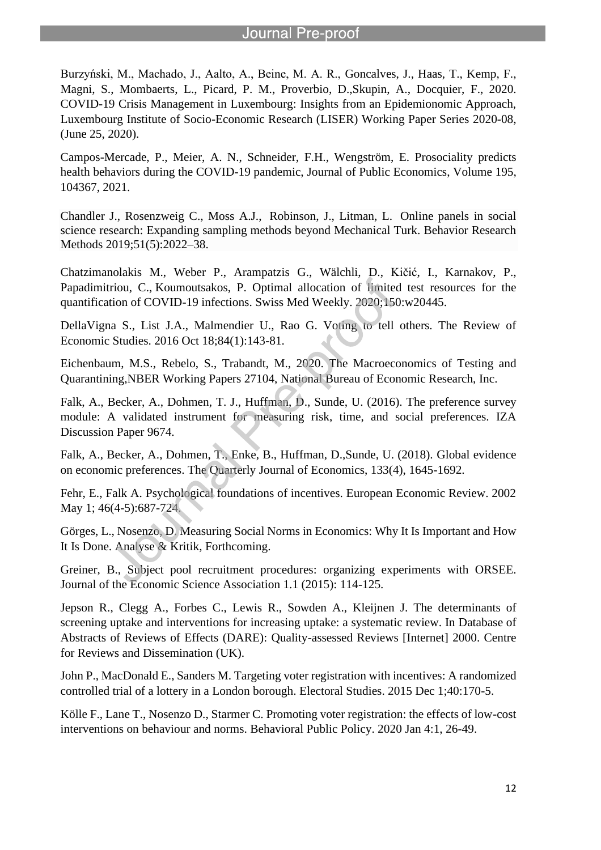Burzyński, M., Machado, J., Aalto, A., Beine, M. A. R., Goncalves, J., Haas, T., Kemp, F., Magni, S., Mombaerts, L., Picard, P. M., Proverbio, D.,Skupin, A., Docquier, F., 2020. COVID-19 Crisis Management in Luxembourg: Insights from an Epidemionomic Approach, Luxembourg Institute of Socio-Economic Research (LISER) Working Paper Series 2020-08, (June 25, 2020).

l

Campos-Mercade, P., Meier, A. N., Schneider, F.H., Wengström, E. Prosociality predicts health behaviors during the COVID-19 pandemic, Journal of Public Economics, Volume 195, 104367, 2021.

Chandler J., Rosenzweig C., Moss A.J., Robinson, J., Litman, L. Online panels in social science research: Expanding sampling methods beyond Mechanical Turk. Behavior Research Methods 2019;51(5):2022–38.

Chatzimanolakis M., Weber P., Arampatzis G., Wälchli, D., Kičić, I., Karnakov, P., Papadimitriou, C., Koumoutsakos, P. Optimal allocation of limited test resources for the quantification of COVID-19 infections. Swiss Med Weekly. 2020;150:w20445.

DellaVigna S., List J.A., Malmendier U., Rao G. Voting to tell others. The Review of Economic Studies. 2016 Oct 18;84(1):143-81.

Eichenbaum, M.S., Rebelo, S., Trabandt, M., 2020. The Macroeconomics of Testing and Quarantining,NBER Working Papers 27104, National Bureau of Economic Research, Inc.

Falk, A., Becker, A., Dohmen, T. J., Huffman, D., Sunde, U. (2016). The preference survey module: A validated instrument for measuring risk, time, and social preferences. IZA Discussion Paper 9674.

Falk, A., Becker, A., Dohmen, T., Enke, B., Huffman, D.,Sunde, U. (2018). Global evidence on economic preferences. The Quarterly Journal of Economics, 133(4), 1645-1692.

Fehr, E., Falk A. Psychological foundations of incentives. European Economic Review. 2002 May 1; 46(4-5):687-724.

Görges, L., Nosenzo, D. Measuring Social Norms in Economics: Why It Is Important and How It Is Done. Analyse & Kritik, Forthcoming.

Greiner, B., Subject pool recruitment procedures: organizing experiments with ORSEE. Journal of the Economic Science Association 1.1 (2015): 114-125.

Jepson R., Clegg A., Forbes C., Lewis R., Sowden A., Kleijnen J. The determinants of screening uptake and interventions for increasing uptake: a systematic review. In Database of Abstracts of Reviews of Effects (DARE): Quality-assessed Reviews [Internet] 2000. Centre for Reviews and Dissemination (UK).

John P., MacDonald E., Sanders M. Targeting voter registration with incentives: A randomized controlled trial of a lottery in a London borough. Electoral Studies. 2015 Dec 1;40:170-5.

Kölle F., Lane T., Nosenzo D., Starmer C. Promoting voter registration: the effects of low-cost interventions on behaviour and norms. Behavioral Public Policy. 2020 Jan 4:1, 26-49.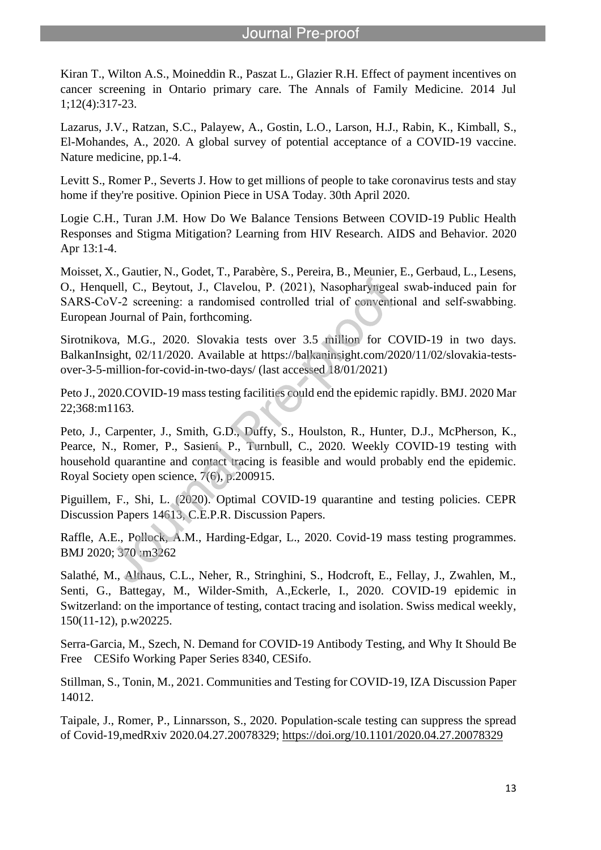Kiran T., Wilton A.S., Moineddin R., Paszat L., Glazier R.H. Effect of payment incentives on cancer screening in Ontario primary care. The Annals of Family Medicine. 2014 Jul 1;12(4):317-23.

l

Lazarus, J.V., Ratzan, S.C., Palayew, A., Gostin, L.O., Larson, H.J., Rabin, K., Kimball, S., El-Mohandes, A., 2020. A global survey of potential acceptance of a COVID-19 vaccine. Nature medicine, pp.1-4.

Levitt S., Romer P., Severts J. How to get millions of people to take coronavirus tests and stay home if they're positive. Opinion Piece in USA Today. 30th April 2020.

Logie C.H., Turan J.M. How Do We Balance Tensions Between COVID-19 Public Health Responses and Stigma Mitigation? Learning from HIV Research. AIDS and Behavior. 2020 Apr 13:1-4.

Moisset, X., Gautier, N., Godet, T., Parabère, S., Pereira, B., Meunier, E., Gerbaud, L., Lesens, O., Henquell, C., Beytout, J., Clavelou, P. (2021), Nasopharyngeal swab‐induced pain for SARS-CoV-2 screening: a randomised controlled trial of conventional and self-swabbing. European Journal of Pain, forthcoming.

Sirotnikova, M.G., 2020. Slovakia tests over 3.5 million for COVID-19 in two days. BalkanInsight, 02/11/2020. Available at https://balkaninsight.com/2020/11/02/slovakia-testsover-3-5-million-for-covid-in-two-days/ (last accessed 18/01/2021)

Peto J., 2020.COVID-19 mass testing facilities could end the epidemic rapidly. BMJ. 2020 Mar 22;368:m1163.

Peto, J., Carpenter, J., Smith, G.D., Duffy, S., Houlston, R., Hunter, D.J., McPherson, K., Pearce, N., Romer, P., Sasieni, P., Turnbull, C., 2020. Weekly COVID-19 testing with household quarantine and contact tracing is feasible and would probably end the epidemic. Royal Society open science, 7(6), p.200915.

Piguillem, F., Shi, L. (2020). Optimal COVID-19 quarantine and testing policies. CEPR Discussion Papers 14613, C.E.P.R. Discussion Papers.

Raffle, A.E., Pollock, A.M., Harding-Edgar, L., 2020. Covid-19 mass testing programmes. BMJ 2020; 370 :m3262

Salathé, M., Althaus, C.L., Neher, R., Stringhini, S., Hodcroft, E., Fellay, J., Zwahlen, M., Senti, G., Battegay, M., Wilder-Smith, A.,Eckerle, I., 2020. COVID-19 epidemic in Switzerland: on the importance of testing, contact tracing and isolation. Swiss medical weekly, 150(11-12), p.w20225.

Serra-Garcia, M., Szech, N. Demand for COVID-19 Antibody Testing, and Why It Should Be Free CESifo Working Paper Series 8340, CESifo.

Stillman, S., Tonin, M., 2021. Communities and Testing for COVID-19, IZA Discussion Paper 14012.

Taipale, J., Romer, P., Linnarsson, S., 2020. Population-scale testing can suppress the spread of Covid-19,medRxiv 2020.04.27.20078329; https://doi.org/10.1101/2020.04.27.20078329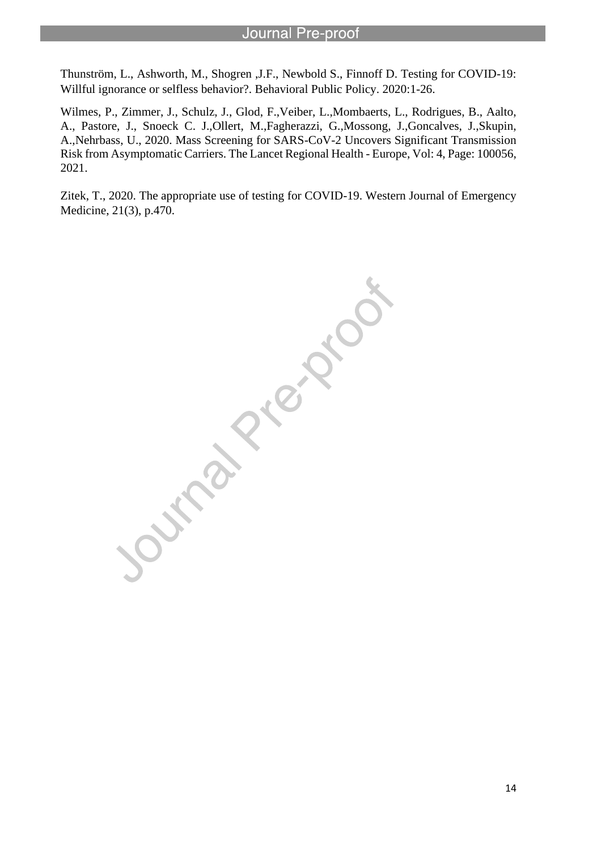Thunström, L., Ashworth, M., Shogren ,J.F., Newbold S., Finnoff D. Testing for COVID-19: Willful ignorance or selfless behavior?. Behavioral Public Policy. 2020:1-26.

l

Wilmes, P., Zimmer, J., Schulz, J., Glod, F.,Veiber, L.,Mombaerts, L., Rodrigues, B., Aalto, A., Pastore, J., Snoeck C. J.,Ollert, M.,Fagherazzi, G.,Mossong, J.,Goncalves, J.,Skupin, A.,Nehrbass, U., 2020. Mass Screening for SARS-CoV-2 Uncovers Significant Transmission Risk from Asymptomatic Carriers. The Lancet Regional Health - Europe, Vol: 4, Page: 100056, 2021.

Zitek, T., 2020. The appropriate use of testing for COVID-19. Western Journal of Emergency Medicine, 21(3), p.470.

I RIVER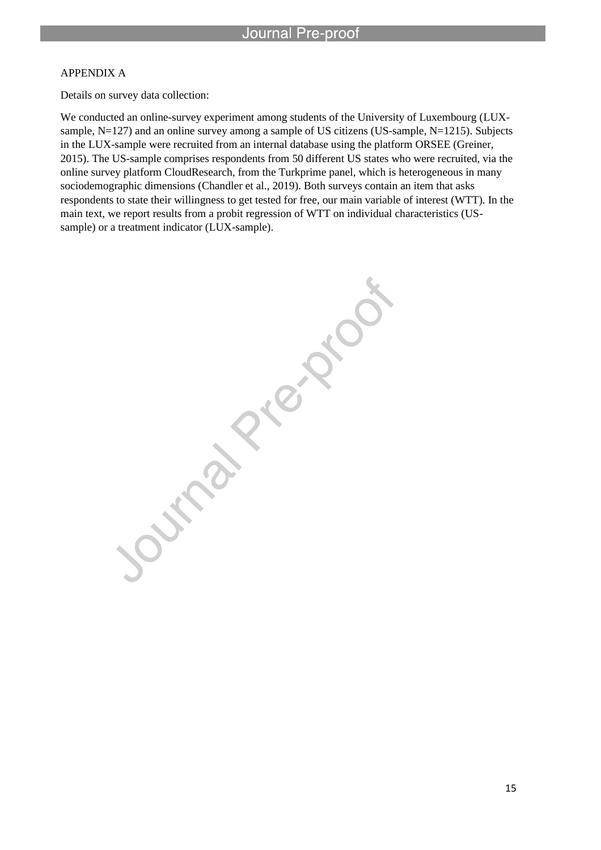#### APPENDIX A

Details on survey data collection:

l

We conducted an online-survey experiment among students of the University of Luxembourg (LUXsample, N=127) and an online survey among a sample of US citizens (US-sample, N=1215). Subjects in the LUX-sample were recruited from an internal database using the platform ORSEE (Greiner, 2015). The US-sample comprises respondents from 50 different US states who were recruited, via the online survey platform CloudResearch, from the Turkprime panel, which is heterogeneous in many sociodemographic dimensions (Chandler et al., 2019). Both surveys contain an item that asks respondents to state their willingness to get tested for free, our main variable of interest (WTT). In the main text, we report results from a probit regression of WTT on individual characteristics (USsample) or a treatment indicator (LUX-sample).

> Arabi ICI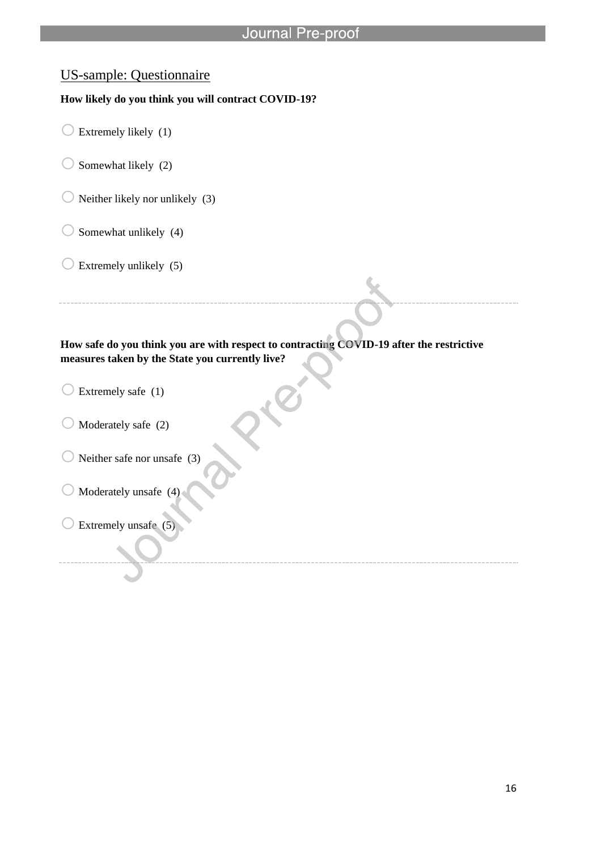### US-sample: Questionnaire

#### **How likely do you think you will contract COVID-19?**

l

- $\bigcirc$  Extremely likely (1)
- $\bigcirc$  Somewhat likely (2)
- $\bigcirc$  Neither likely nor unlikely (3)
- $\bigcirc$  Somewhat unlikely (4)
- $\bigcirc$  Extremely unlikely (5)

#### **How safe do you think you are with respect to contracting COVID-19 after the restrictive measures taken by the State you currently live?**

- $\bigcirc$  Extremely safe (1)
- $\bigcirc$  Moderately safe (2)
- $\bigcirc$  Neither safe nor unsafe (3)
- $\bigcirc$  Moderately unsafe (4)
- $\bigcirc$  Extremely unsafe (5)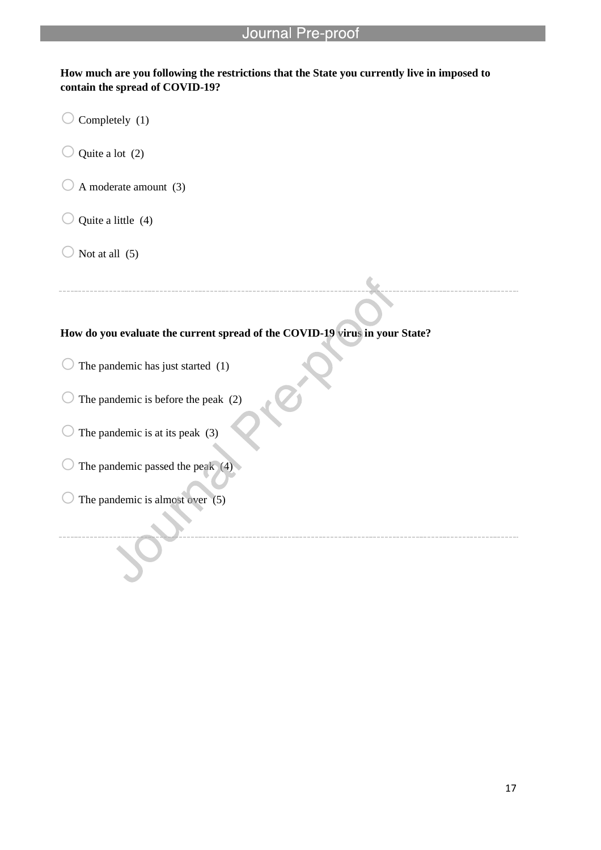#### **How much are you following the restrictions that the State you currently live in imposed to contain the spread of COVID-19?**

l

- $\bigcirc$  Completely (1)
- $\bigcirc$  Quite a lot (2)
- $\bigcirc$  A moderate amount (3)
- $\bigcirc$  Quite a little (4)
- $\bigcirc$  Not at all (5)

#### **How do you evaluate the current spread of the COVID-19 virus in your State?**

- $\bigcirc$  The pandemic has just started (1)
- $\bigcirc$  The pandemic is before the peak (2)
- $\bigcirc$  The pandemic is at its peak (3)
- $\bigcirc$  The pandemic passed the peak (4)
- $\bigcirc$  The pandemic is almost over (5)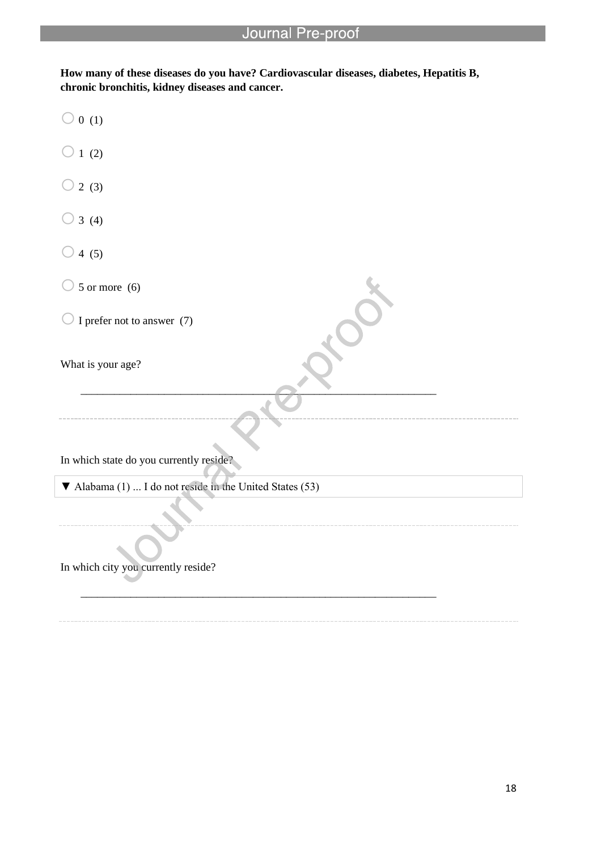l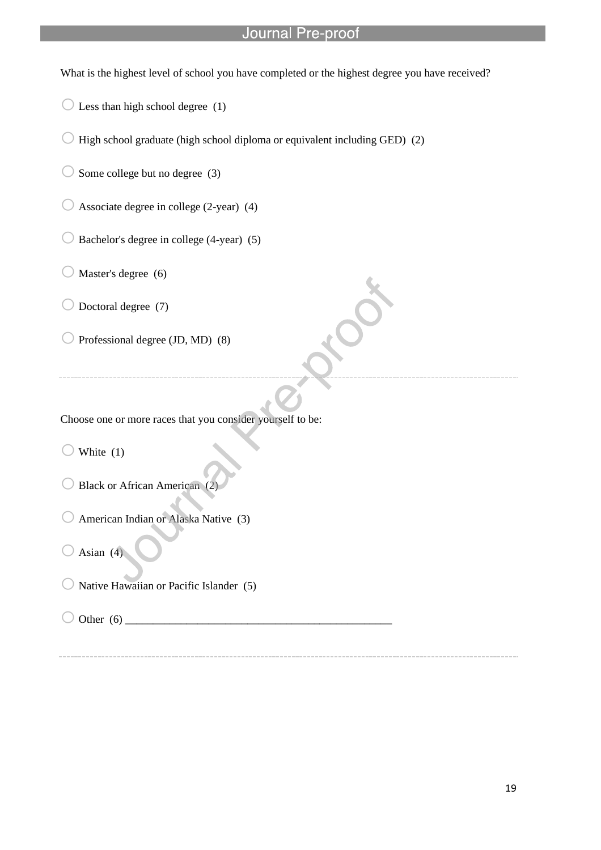What is the highest level of school you have completed or the highest degree you have received?

 $\bigcirc$  Less than high school degree (1)

 $\bigcirc$  High school graduate (high school diploma or equivalent including GED) (2)

l

 $\bigcirc$  Some college but no degree (3)

 $\bigcirc$  Associate degree in college (2-year) (4)

 $\bigcirc$  Bachelor's degree in college (4-year) (5)

 $\bigcirc$  Master's degree (6)

 $\bigcirc$  Doctoral degree (7)

 $\bigcirc$  Professional degree (JD, MD) (8)

Choose one or more races that you consider yourself to be:

White  $(1)$ 

Black or African American (2)

American Indian or Alaska Native (3)

Asian  $(4)$ 

Native Hawaiian or Pacific Islander (5)

 $\bigcirc$  Other (6)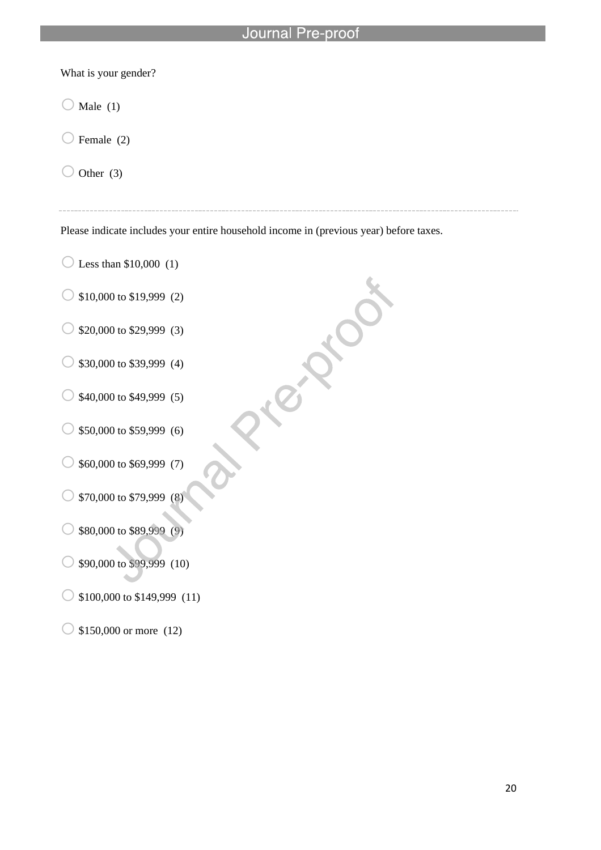What is your gender?

 $\bigcirc$  Male (1)

 $\bigcirc$  Female (2)

 $\bigcirc$  Other (3)

Please indicate includes your entire household income in (previous year) before taxes.

ICI

l

 $\bigcirc$  Less than \$10,000 (1)

 $\circ$  \$10,000 to \$19,999 (2)

 $\circ$  \$20,000 to \$29,999 (3)

 $\bigcirc$  \$30,000 to \$39,999 (4)

 $\circ$  \$40,000 to \$49,999 (5)

 $\circ$  \$50,000 to \$59,999 (6)

 $\circ$  \$60,000 to \$69,999 (7)

 $\circ$  \$70,000 to \$79,999 (8)

 $\circ$  \$80,000 to \$89,999 (9)

 $\bigcirc$  \$90,000 to \$99,999 (10)

 $\bigcirc$  \$100,000 to \$149,999 (11)

 $\bigcirc$  \$150,000 or more (12)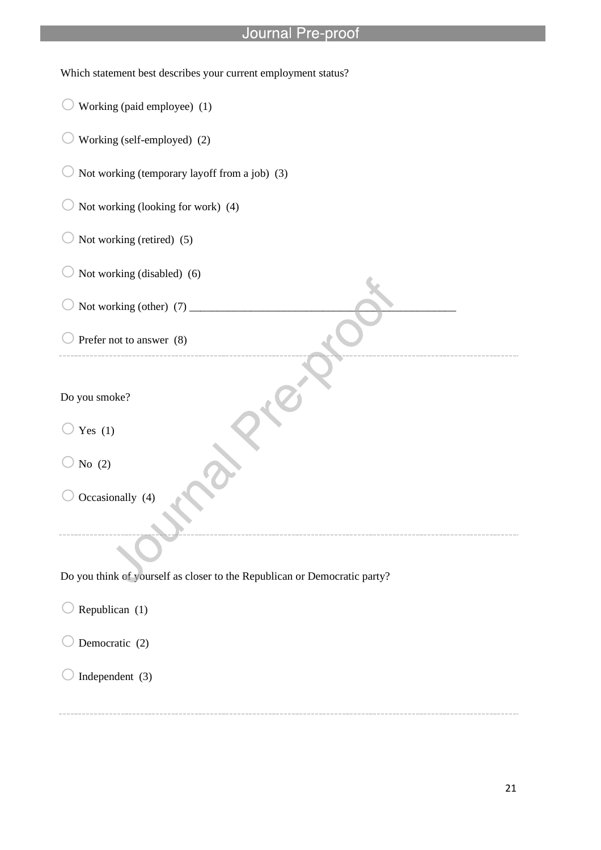l

| Which statement best describes your current employment status?            |
|---------------------------------------------------------------------------|
| Working (paid employee) (1)                                               |
| Working (self-employed) (2)                                               |
| Not working (temporary layoff from a job) (3)                             |
| Not working (looking for work) (4)                                        |
| Not working (retired) (5)                                                 |
| Not working (disabled) (6)                                                |
|                                                                           |
| Prefer not to answer (8)                                                  |
| Do you smoke?<br>Yes $(1)$                                                |
| No $(2)$                                                                  |
| Occasionally (4)                                                          |
|                                                                           |
| Do you think of yourself as closer to the Republican or Democratic party? |
| Republican (1)                                                            |
| Democratic (2)                                                            |
| Independent (3)                                                           |

21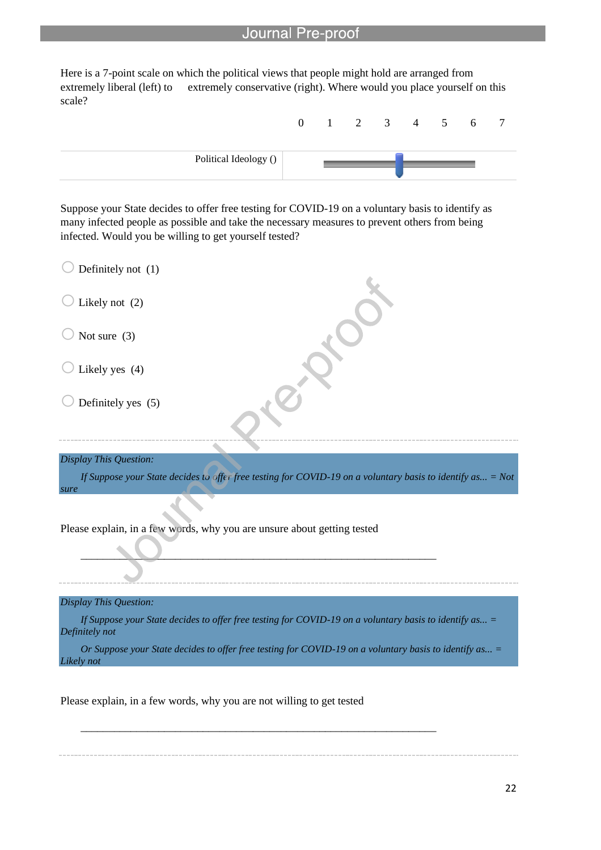Here is a 7-point scale on which the political views that people might hold are arranged from extremely liberal (left) to extremely conservative (right). Where would you place yourself on this scale?

l



Suppose your State decides to offer free testing for COVID-19 on a voluntary basis to identify as many infected people as possible and take the necessary measures to prevent others from being infected. Would you be willing to get yourself tested?

| Definitely not (1)                                                                                                         |
|----------------------------------------------------------------------------------------------------------------------------|
| Likely not (2)                                                                                                             |
| Not sure $(3)$                                                                                                             |
| Likely yes (4)                                                                                                             |
| Definitely yes (5)                                                                                                         |
| Display This Question:                                                                                                     |
| If Suppose your State decides to offer free testing for COVID-19 on a voluntary basis to identify as = Not<br>sure         |
|                                                                                                                            |
| Please explain, in a few words, why you are unsure about getting tested                                                    |
|                                                                                                                            |
|                                                                                                                            |
|                                                                                                                            |
| Display This Question:                                                                                                     |
| If Suppose your State decides to offer free testing for COVID-19 on a voluntary basis to identify as $=$<br>Definitely not |
| Or Suppose your State decides to offer free testing for COVID-19 on a voluntary basis to identify as =<br>Likely not       |
|                                                                                                                            |

\_\_\_\_\_\_\_\_\_\_\_\_\_\_\_\_\_\_\_\_\_\_\_\_\_\_\_\_\_\_\_\_\_\_\_\_\_\_\_\_\_\_\_\_\_\_\_\_\_\_\_\_\_\_\_\_\_\_\_\_\_\_\_\_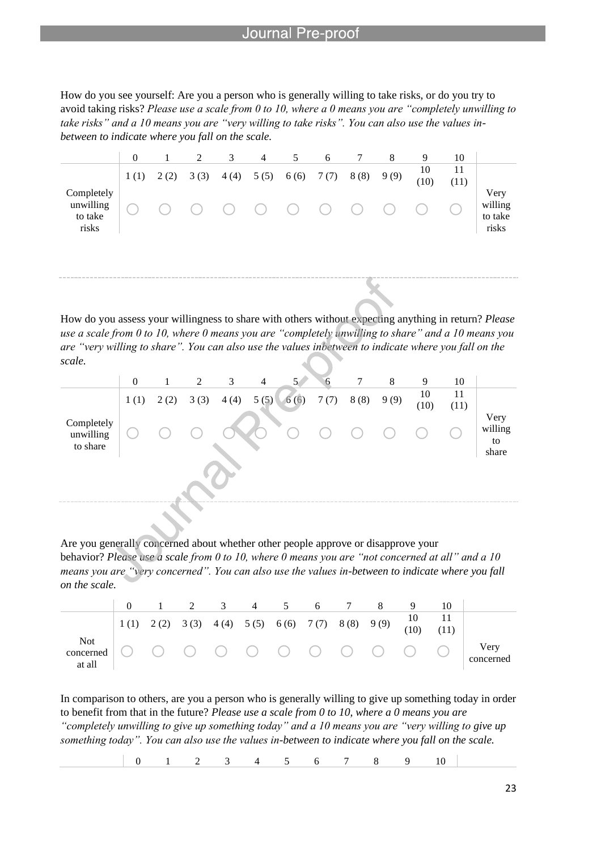l

How do you see yourself: Are you a person who is generally willing to take risks, or do you try to avoid taking risks? *Please use a scale from 0 to 10, where a 0 means you are "completely unwilling to take risks" and a 10 means you are "very willing to take risks". You can also use the values inbetween to indicate where you fall on the scale.*

|                                             | $\Omega$ |      | 2    | 3      | 4                                | 5    | 6      |      | 8    | 9          | 10         |                                     |
|---------------------------------------------|----------|------|------|--------|----------------------------------|------|--------|------|------|------------|------------|-------------------------------------|
|                                             | 1(1)     | 2(2) | 3(3) | 4(4)   | 5(5)                             | 6(6) | 7(7)   | 8(8) | 9(9) | 10<br>(10) | 11<br>(11) |                                     |
| Completely<br>unwilling<br>to take<br>risks |          |      |      | $(\ )$ | $\bigcirc$ $\bigcirc$ $\bigcirc$ |      | $(\ )$ |      |      |            |            | Very<br>willing<br>to take<br>risks |
|                                             |          |      |      |        |                                  |      |        |      |      |            |            |                                     |

How do you assess your willingness to share with others without expecting anything in return? *Please use a scale from 0 to 10, where 0 means you are "completely unwilling to share" and a 10 means you are "very willing to share". You can also use the values inbetween to indicate where you fall on the scale.*

|                                     | $\theta$ |      | 2    | 3    | $\overline{4}$ | 5 <sub>1</sub> |      |      | 8    | 9          | 10         |                       |
|-------------------------------------|----------|------|------|------|----------------|----------------|------|------|------|------------|------------|-----------------------|
|                                     | 1(1)     | 2(2) | 3(3) | 4(4) | 5(5)           | 6(6)           | 7(7) | 8(8) | 9(9) | 10<br>(10) | 11<br>(11) |                       |
| Completely<br>unwilling<br>to share |          |      |      |      |                |                |      |      |      |            |            | Very<br>willing<br>to |
|                                     |          |      |      |      |                |                |      |      |      |            |            | share                 |

Are you generally concerned about whether other people approve or disapprove your behavior? *Please use a scale from 0 to 10, where 0 means you are "not concerned at all" and a 10 means you are "very concerned". You can also use the values in-between to indicate where you fall on the scale.*

|                               |  | 2 3 4 |  | $-5$ | 6 7 |                                                                                   |                   |
|-------------------------------|--|-------|--|------|-----|-----------------------------------------------------------------------------------|-------------------|
|                               |  |       |  |      |     | 1 (1) 2 (2) 3 (3) 4 (4) 5 (5) 6 (6) 7 (7) 8 (8) 9 (9) $\frac{10}{(10)}$ 11<br>(1) |                   |
| Not local concerned<br>at all |  |       |  |      |     |                                                                                   | Very<br>concerned |

In comparison to others, are you a person who is generally willing to give up something today in order to benefit from that in the future? *Please use a scale from 0 to 10, where a 0 means you are "completely unwilling to give up something today" and a 10 means you are "very willing to give up something today". You can also use the values in-between to indicate where you fall on the scale.*

0 1 2 3 4 5 6 7 8 9 10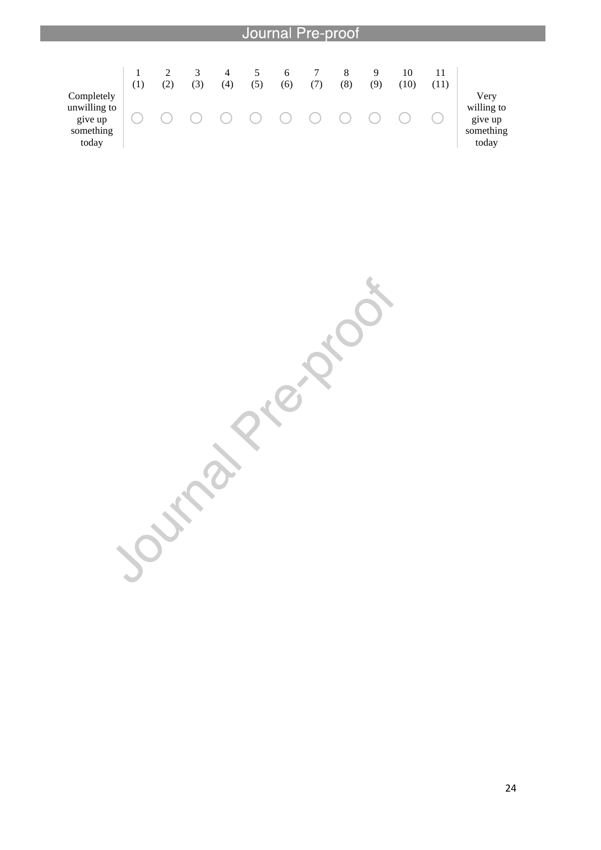

Journal Prezion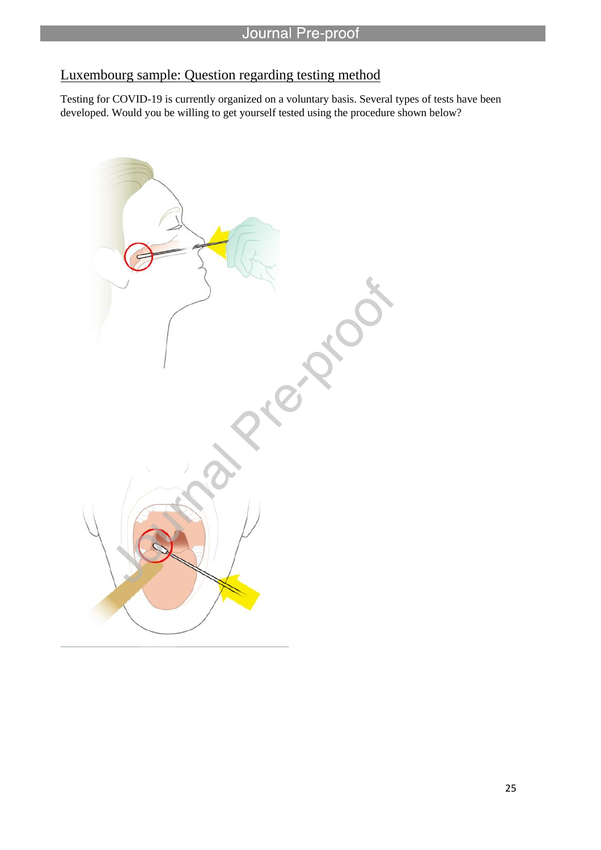## Luxembourg sample: Question regarding testing method

l

Testing for COVID-19 is currently organized on a voluntary basis. Several types of tests have been developed. Would you be willing to get yourself tested using the procedure shown below?

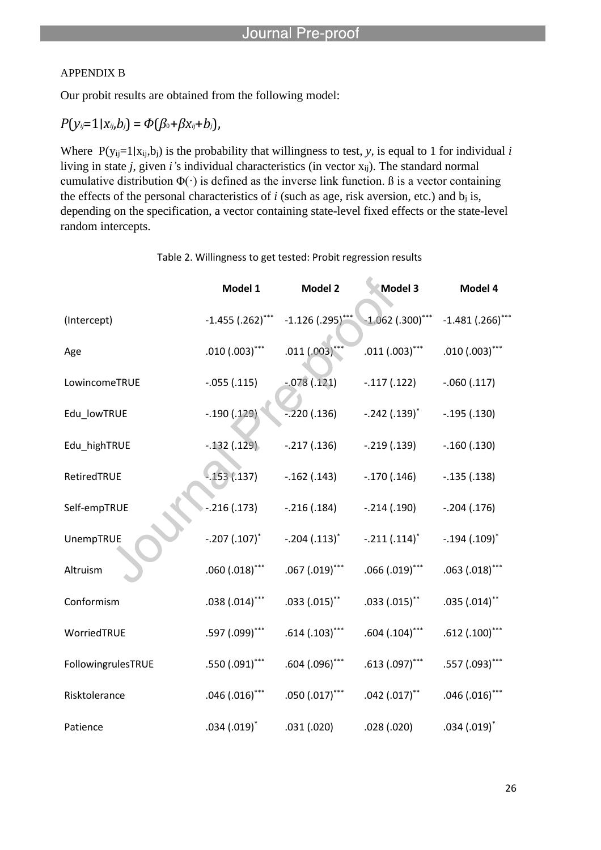#### APPENDIX B

Our probit results are obtained from the following model:

l

$$
P(y_{ij}=1|x_{ij},b_j)=\Phi(\beta_0+\beta x_{ij}+b_j),
$$

Where  $P(y_{ij}=1|x_{ij},b_j)$  is the probability that willingness to test, *y*, is equal to 1 for individual *i* living in state *j*, given *i'*s individual characteristics (in vector xij). The standard normal cumulative distribution  $\Phi(\cdot)$  is defined as the inverse link function. B is a vector containing the effects of the personal characteristics of  $i$  (such as age, risk aversion, etc.) and  $b_i$  is, depending on the specification, a vector containing state-level fixed effects or the state-level random intercepts.

|                    | Model 1               | Model 2                        | Model 3                        | Model 4            |
|--------------------|-----------------------|--------------------------------|--------------------------------|--------------------|
| (Intercept)        | $-1.455$ $(.262)$ *** | $-1.126$ (.295) <sup>***</sup> | $-1.062$ (.300) <sup>***</sup> | $-1.481(.266)$ *** |
| Age                | $.010(.003)$ ***      | .011(.003)                     | $.011(.003)$ ***               | $.010(.003)$ ***   |
| LowincomeTRUE      | $-.055(.115)$         | $-078(.121)$                   | $-.117(.122)$                  | $-.060(.117)$      |
| Edu_lowTRUE        | $-.190(.129)$         | $-220(0.136)$                  | $-.242(.139)^*$                | $-.195(.130)$      |
| Edu_highTRUE       | $-.132(.129).$        | $-.217(.136)$                  | $-.219(.139)$                  | $-.160(.130)$      |
| RetiredTRUE        | $-153(137)$           | $-.162(.143)$                  | $-.170(.146)$                  | $-.135(.138)$      |
| Self-empTRUE       | $-.216(.173)$         | $-.216(.184)$                  | $-.214(.190)$                  | $-.204(.176)$      |
| UnempTRUE          | $-.207(.107)^*$       | $-.204(.113)^*$                | $-.211(.114)^*$                | $-.194(.109)^*$    |
| Altruism           | $.060(.018)$ ***      | $.067(.019)$ ***               | $.066(.019)$ ***               | $.063(.018)$ ***   |
| Conformism         | $.038(.014)$ ***      | $.033(.015)$ **                | $.033(.015)$ **                | $.035(.014)$ **    |
| WorriedTRUE        | .597 (.099)***        | $.614(.103)$ ***               | $.604(.104)$ ***               | $.612(.100)$ ***   |
| FollowingrulesTRUE | $.550(.091)$ ***      | $.604(.096)$ ***               | $.613(.097)$ ***               | $.557(.093)$ ***   |
| Risktolerance      | $.046(.016)$ ***      | $.050(.017)$ ***               | $.042(.017)$ **                | $.046(.016)$ ***   |
| Patience           | $.034(.019)^*$        | .031(.020)                     | .028(.020)                     | $.034(.019)^*$     |

Table 2. Willingness to get tested: Probit regression results

A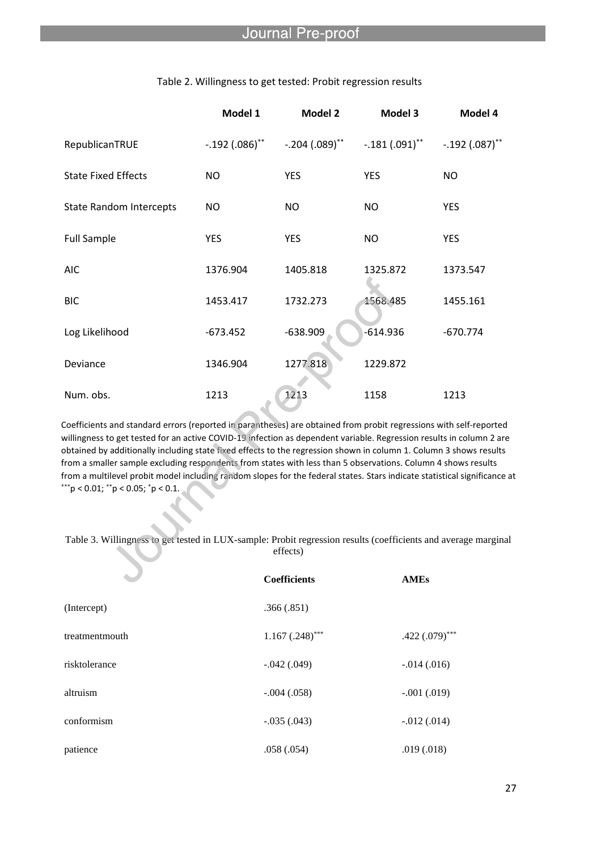|                                | Model 1          | <b>Model 2</b>      | Model 3              | Model 4          |
|--------------------------------|------------------|---------------------|----------------------|------------------|
| RepublicanTRUE                 | $-.192(.086)$ ** | $-.204(.089) ^{**}$ | $-.181\,(.091)^{**}$ | $-.192(.087)$ ** |
| <b>State Fixed Effects</b>     | <b>NO</b>        | <b>YES</b>          | <b>YES</b>           | NO               |
| <b>State Random Intercepts</b> | <b>NO</b>        | <b>NO</b>           | NO                   | <b>YES</b>       |
| <b>Full Sample</b>             | <b>YES</b>       | <b>YES</b>          | NO                   | <b>YES</b>       |
| <b>AIC</b>                     | 1376.904         | 1405.818            | 1325.872             | 1373.547         |
| <b>BIC</b>                     | 1453.417         | 1732.273            | 1568.485             | 1455.161         |
| Log Likelihood                 | $-673.452$       | $-638.909$          | $-614.936$           | $-670.774$       |
| Deviance                       | 1346.904         | 1277.818            | 1229.872             |                  |
| Num. obs.                      | 1213             | 1213                | 1158                 | 1213             |

#### Table 2. Willingness to get tested: Probit regression results

l

Coefficients and standard errors (reported in parantheses) are obtained from probit regressions with self-reported willingness to get tested for an active COVID-19 infection as dependent variable. Regression results in column 2 are obtained by additionally including state fixed effects to the regression shown in column 1. Column 3 shows results from a smaller sample excluding respondents from states with less than 5 observations. Column 4 shows results from a multilevel probit model including random slopes for the federal states. Stars indicate statistical significance at \*\*\*p < 0.01;  $*$ \*p < 0.05;  $*$ p < 0.1.

#### Table 3. Willingness to get tested in LUX-sample: Probit regression results (coefficients and average marginal effects)

|                | <b>Coefficients</b> | <b>AMEs</b>       |
|----------------|---------------------|-------------------|
| (Intercept)    | .366(.851)          |                   |
| treatmentmouth | $1.167(.248)$ ***   | .422 $(.079)$ *** |
| risktolerance  | $-.042(.049)$       | $-.014(.016)$     |
| altruism       | $-.004(.058)$       | $-.001(.019)$     |
| conformism     | $-.035(.043)$       | $-.012(.014)$     |
| patience       | .058(.054)          | .019(.018)        |